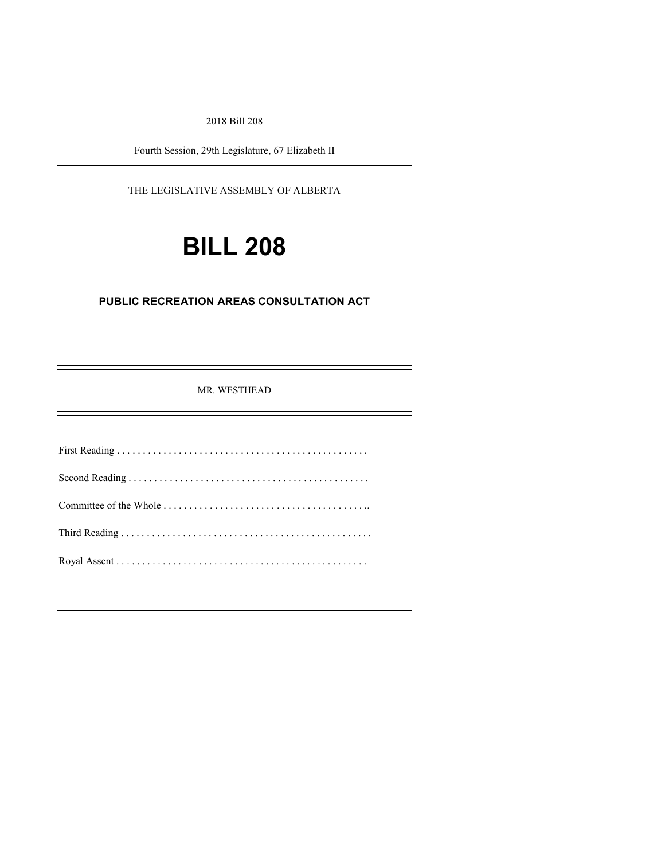2018 Bill 208

Fourth Session, 29th Legislature, 67 Elizabeth II

THE LEGISLATIVE ASSEMBLY OF ALBERTA

# **BILL 208**

#### **PUBLIC RECREATION AREAS CONSULTATION ACT**

MR. WESTHEAD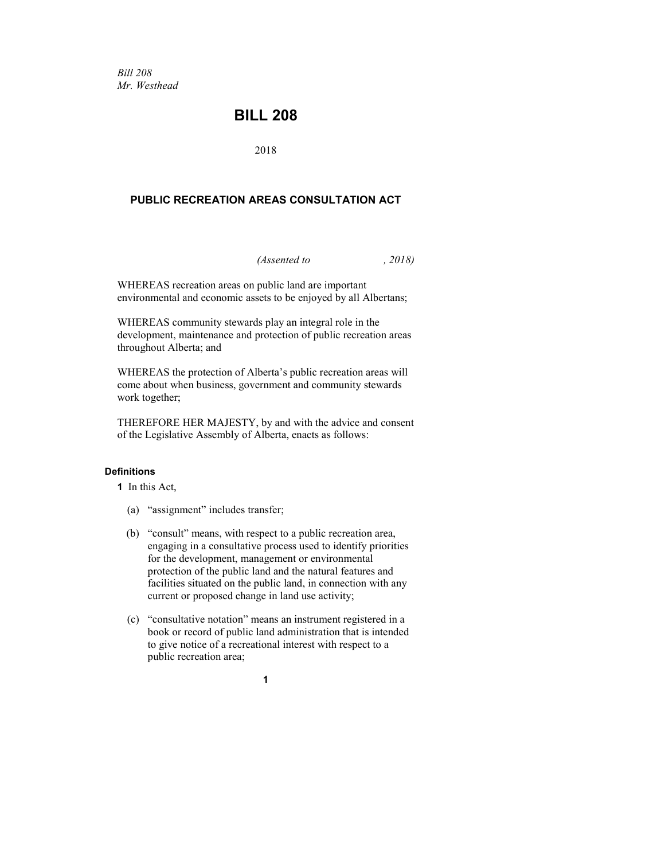*Bill 208 Mr. Westhead*

### **BILL 208**

2018

#### **PUBLIC RECREATION AREAS CONSULTATION ACT**

*(Assented to , 2018)*

WHEREAS recreation areas on public land are important environmental and economic assets to be enjoyed by all Albertans;

WHEREAS community stewards play an integral role in the development, maintenance and protection of public recreation areas throughout Alberta; and

WHEREAS the protection of Alberta's public recreation areas will come about when business, government and community stewards work together;

THEREFORE HER MAJESTY, by and with the advice and consent of the Legislative Assembly of Alberta, enacts as follows:

#### **Definitions**

**1** In this Act,

- (a) "assignment" includes transfer;
- (b) "consult" means, with respect to a public recreation area, engaging in a consultative process used to identify priorities for the development, management or environmental protection of the public land and the natural features and facilities situated on the public land, in connection with any current or proposed change in land use activity;
- (c) "consultative notation" means an instrument registered in a book or record of public land administration that is intended to give notice of a recreational interest with respect to a public recreation area;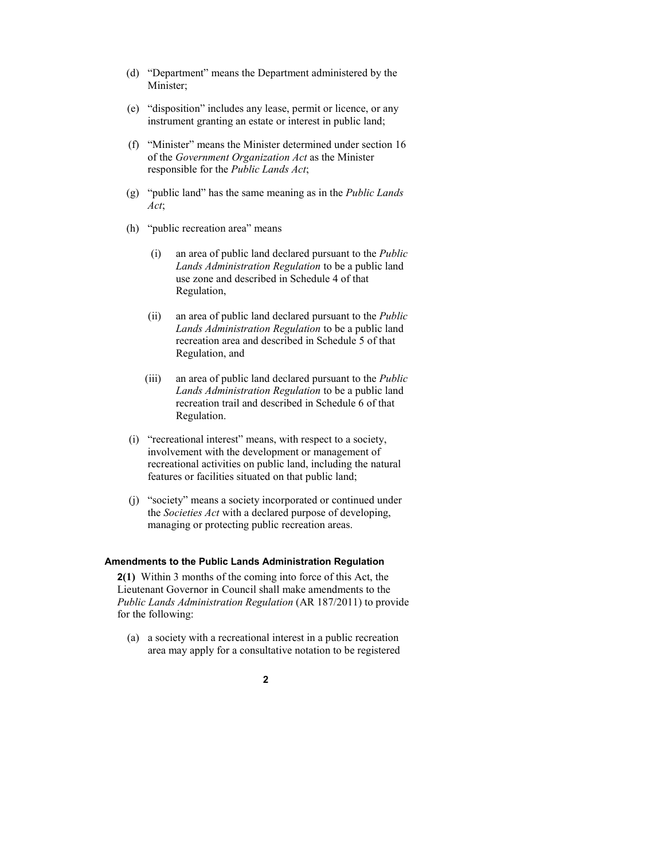- (d) "Department" means the Department administered by the Minister;
- (e) "disposition" includes any lease, permit or licence, or any instrument granting an estate or interest in public land;
- (f) "Minister" means the Minister determined under section 16 of the *Government Organization Act* as the Minister responsible for the *Public Lands Act*;
- (g) "public land" has the same meaning as in the *Public Lands Act*;
- (h) "public recreation area" means
	- (i) an area of public land declared pursuant to the *Public Lands Administration Regulation* to be a public land use zone and described in Schedule 4 of that Regulation,
	- (ii) an area of public land declared pursuant to the *Public Lands Administration Regulation* to be a public land recreation area and described in Schedule 5 of that Regulation, and
	- (iii) an area of public land declared pursuant to the *Public Lands Administration Regulation* to be a public land recreation trail and described in Schedule 6 of that Regulation.
- (i) "recreational interest" means, with respect to a society, involvement with the development or management of recreational activities on public land, including the natural features or facilities situated on that public land;
- (j) "society" means a society incorporated or continued under the *Societies Act* with a declared purpose of developing, managing or protecting public recreation areas.

#### **Amendments to the Public Lands Administration Regulation**

**2(1)** Within 3 months of the coming into force of this Act, the Lieutenant Governor in Council shall make amendments to the *Public Lands Administration Regulation* (AR 187/2011) to provide for the following:

(a) a society with a recreational interest in a public recreation area may apply for a consultative notation to be registered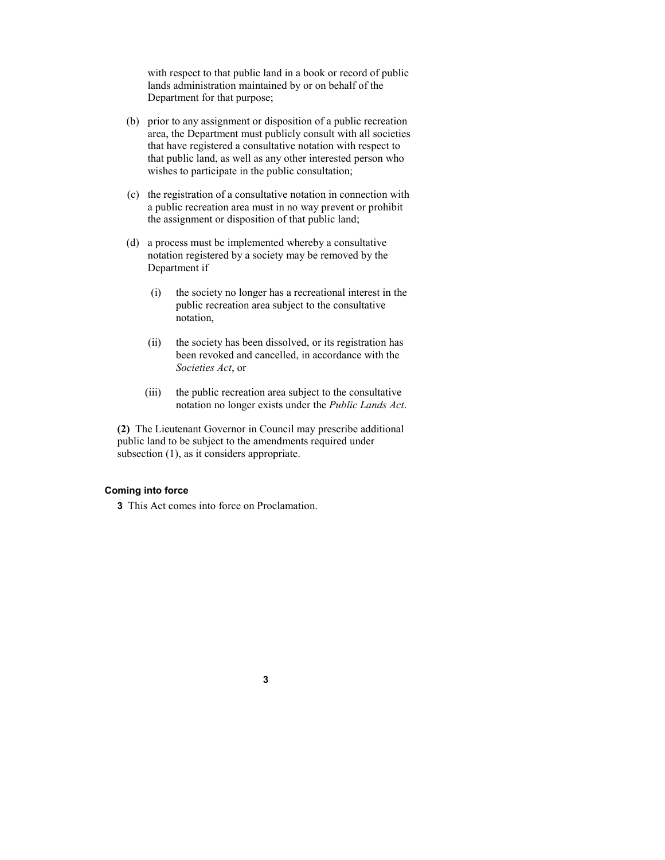with respect to that public land in a book or record of public lands administration maintained by or on behalf of the Department for that purpose;

- (b) prior to any assignment or disposition of a public recreation area, the Department must publicly consult with all societies that have registered a consultative notation with respect to that public land, as well as any other interested person who wishes to participate in the public consultation;
- (c) the registration of a consultative notation in connection with a public recreation area must in no way prevent or prohibit the assignment or disposition of that public land;
- (d) a process must be implemented whereby a consultative notation registered by a society may be removed by the Department if
	- (i) the society no longer has a recreational interest in the public recreation area subject to the consultative notation,
	- (ii) the society has been dissolved, or its registration has been revoked and cancelled, in accordance with the *Societies Act*, or
	- (iii) the public recreation area subject to the consultative notation no longer exists under the *Public Lands Act*.

**(2)** The Lieutenant Governor in Council may prescribe additional public land to be subject to the amendments required under subsection (1), as it considers appropriate.

#### **Coming into force**

**3** This Act comes into force on Proclamation.